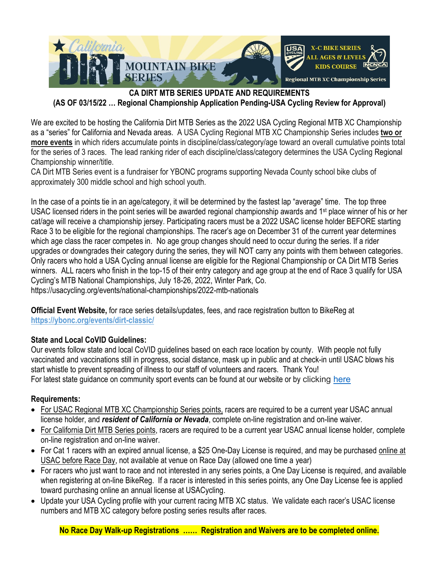

#### **CA DIRT MTB SERIES UPDATE AND REQUIREMENTS (AS OF 03/15/22 … Regional Championship Application Pending-USA Cycling Review for Approval)**

We are excited to be hosting the California Dirt MTB Series as the 2022 USA Cycling Regional MTB XC Championship as a "series" for California and Nevada areas. A USA Cycling Regional MTB XC Championship Series includes **two or more events** in which riders accumulate points in discipline/class/category/age toward an overall cumulative points total for the series of 3 races. The lead ranking rider of each discipline/class/category determines the USA Cycling Regional Championship winner/title.

CA Dirt MTB Series event is a fundraiser for YBONC programs supporting Nevada County school bike clubs of approximately 300 middle school and high school youth.

In the case of a points tie in an age/category, it will be determined by the fastest lap "average" time. The top three USAC licensed riders in the point series will be awarded regional championship awards and 1<sup>st</sup> place winner of his or her cat/age will receive a championship jersey. Participating racers must be a 2022 USAC license holder BEFORE starting Race 3 to be eligible for the regional championships. The racer's age on December 31 of the current year determines which age class the racer competes in. No age group changes should need to occur during the series. If a rider upgrades or downgrades their category during the series, they will NOT carry any points with them between categories. Only racers who hold a USA Cycling annual license are eligible for the Regional Championship or CA Dirt MTB Series winners. ALL racers who finish in the top-15 of their entry category and age group at the end of Race 3 qualify for USA Cycling's MTB National Championships, July 18-26, 2022, Winter Park, Co. https://usacycling.org/events/national-championships/2022-mtb-nationals

**Official Event Website,** for race series details/updates, fees, and race registration button to BikeReg at **<https://ybonc.org/events/dirt-classic/>**

#### **State and Local CoVID Guidelines:**

Our events follow state and local CoVID guidelines based on each race location by county. With people not fully vaccinated and vaccinations still in progress, social distance, mask up in public and at check-in until USAC blows his start whistle to prevent spreading of illness to our staff of volunteers and racers. Thank You! For latest state guidance on community sport events can be found at our website or by clicking [here](https://files.covid19.ca.gov/pdf/guidance-community-sporting-events--en.pdf)

### **Requirements:**

- For USAC Regional MTB XC Championship Series points, racers are required to be a current year USAC annual license holder, and *resident of California or Nevada*, complete on-line registration and on-line waiver.
- For California Dirt MTB Series points, racers are required to be a current year USAC annual license holder, complete on-line registration and on-line waiver.
- For Cat 1 racers with an expired annual license, a \$25 One-Day License is required, and may be purchased online at USAC before Race Day, not available at venue on Race Day (allowed one time a year)
- For racers who just want to race and not interested in any series points, a One Day License is required, and available when registering at on-line BikeReg. If a racer is interested in this series points, any One Day License fee is applied toward purchasing online an annual license at USACycling.
- Update your USA Cycling profile with your current racing MTB XC status. We validate each racer's USAC license numbers and MTB XC category before posting series results after races.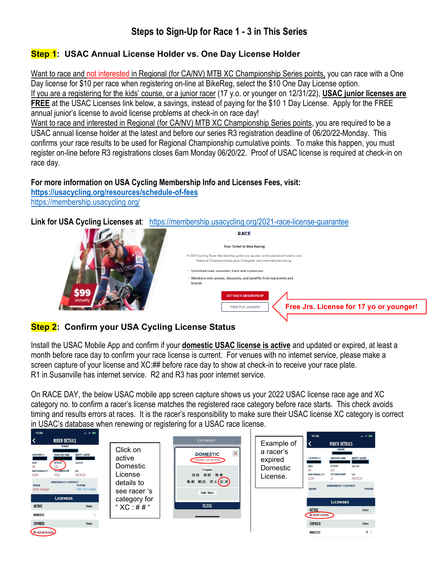# **Steps to Sign-Up for Race 1 - 3 in This Series**

## **Step 1: USAC Annual License Holder vs. One Day License Holder**

Want to race and not interested in Regional (for CA/NV) MTB XC Championship Series points, you can race with a One Day license for \$10 per race when registering on-line at BikeReg, select the \$10 One Day License option. If you are a registering for the kids' course, or a junior racer (17 y.o. or younger on 12/31/22), **USAC junior licenses are FREE** at the USAC Licenses link below, a savings, instead of paying for the \$10 1 Day License. Apply for the FREE annual junior's license to avoid license problems at check-in on race day!

Want to race and interested in Regional (for CA/NV) MTB XC Championship Series points, you are required to be a USAC annual license holder at the latest and before our series R3 registration deadline of 06/20/22-Monday. This confirms your race results to be used for Regional Championship cumulative points. To make this happen, you must register on-line before R3 registrations closes 6am Monday 06/20/22. Proof of USAC license is required at check-in on race day.

#### **For more information on USA Cycling Membership Info and Licenses Fees, visit:**

**<https://usacycling.org/resources/schedule-of-fees>** <https://membership.usacycling.org/>

**Link for USA Cycling Licenses at**: <https://membership.usacycling.org/2021-race-license-guarantee>



## **Step 2: Confirm your USA Cycling License Status**

Install the USAC Mobile App and confirm if your **domestic USAC license is active** and updated or expired, at least a month before race day to confirm your race license is current. For venues with no internet service, please make a screen capture of your license and XC:## before race day to show at check-in to receive your race plate. R1 in Susanville has internet service. R2 and R3 has poor internet service.

On RACE DAY, the below USAC mobile app screen capture shows us your 2022 USAC license race age and XC category no. to confirm a racer's license matches the registered race category before race starts. This check avoids timing and results errors at races. It is the racer's responsibility to make sure their USAC license XC category is correct in USAC's database when renewing or registering for a USAC race license.

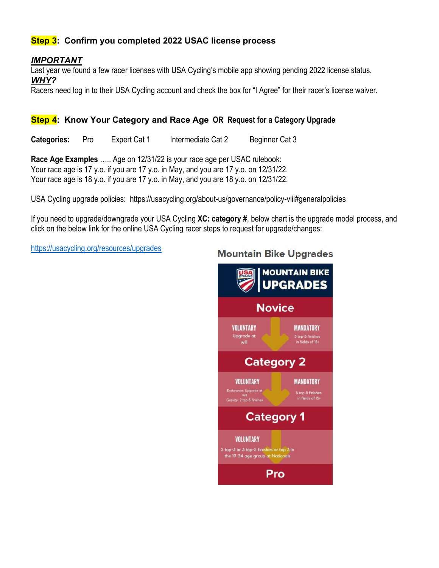### **Step 3: Confirm you completed 2022 USAC license process**

#### *IMPORTANT*

Last year we found a few racer licenses with USA Cycling's mobile app showing pending 2022 license status. *WHY?* 

Racers need log in to their USA Cycling account and check the box for "I Agree" for their racer's license waiver.

#### **Step 4: Know Your Category and Race Age OR Request for a Category Upgrade**

**Categories:** Pro Expert Cat 1 Intermediate Cat 2 Beginner Cat 3

**Race Age Examples** ….. Age on 12/31/22 is your race age per USAC rulebook: Your race age is 17 y.o. if you are 17 y.o. in May, and you are 17 y.o. on 12/31/22. Your race age is 18 y.o. if you are 17 y.o. in May, and you are 18 y.o. on 12/31/22.

USA Cycling upgrade policies: https://usacycling.org/about-us/governance/policy-viii#generalpolicies

If you need to upgrade/downgrade your USA Cycling **XC: category #**, below chart is the upgrade model process, and click on the below link for the online USA Cycling racer steps to request for upgrade/changes:

<https://usacycling.org/resources/upgrades>

# **Mountain Bike Upgrades MOUNTAIN BIKE UPGRADES Novice** VOLUNTARY **MANDATORY** Upgrade at<br>will 5 top-5 finishes<br>in fields of 15+ **Category 2 VOLUNTARY MANDATORY** 5 top-5 finishes<br>in fields of 15+ **Category 1 VOLUNTARY** 2 top-3 or 3 top-5 finishes or top 3 in the 19-34 age group at Nationals Pro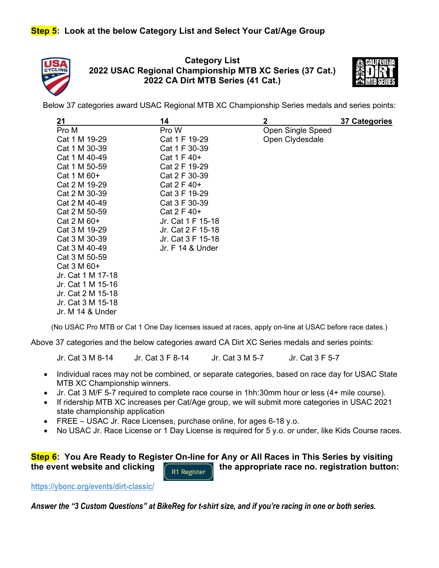

**Category List 2022 USAC Regional Championship MTB XC Series (37 Cat.) 2022 CA Dirt MTB Series (41 Cat.)**



Below 37 categories award USAC Regional MTB XC Championship Series medals and series points:

| 21                | 14                | $\mathbf 2$       | 37 Categories |
|-------------------|-------------------|-------------------|---------------|
| Pro M             | Pro W             | Open Single Speed |               |
| Cat 1 M 19-29     | Cat 1 F 19-29     | Open Clydesdale   |               |
| Cat 1 M 30-39     | Cat 1 F 30-39     |                   |               |
| Cat 1 M 40-49     | Cat 1 F 40+       |                   |               |
| Cat 1 M 50-59     | Cat 2 F 19-29     |                   |               |
| Cat 1 M 60+       | Cat 2 F 30-39     |                   |               |
| Cat 2 M 19-29     | Cat 2 F $40+$     |                   |               |
| Cat 2 M 30-39     | Cat 3 F 19-29     |                   |               |
| Cat 2 M 40-49     | Cat 3 F 30-39     |                   |               |
| Cat 2 M 50-59     | Cat 2 F $40+$     |                   |               |
| Cat 2 M 60+       | Jr. Cat 1 F 15-18 |                   |               |
| Cat 3 M 19-29     | Jr. Cat 2 F 15-18 |                   |               |
| Cat 3 M 30-39     | Jr. Cat 3 F 15-18 |                   |               |
| Cat 3 M 40-49     | Jr. F 14 & Under  |                   |               |
| Cat 3 M 50-59     |                   |                   |               |
| Cat 3 M 60+       |                   |                   |               |
| Jr. Cat 1 M 17-18 |                   |                   |               |
| Jr. Cat 1 M 15-16 |                   |                   |               |
| Jr. Cat 2 M 15-18 |                   |                   |               |
| Jr. Cat 3 M 15-18 |                   |                   |               |
| Jr. M 14 & Under  |                   |                   |               |

(No USAC Pro MTB or Cat 1 One Day licenses issued at races, apply on-line at USAC before race dates.)

Above 37 categories and the below categories award CA Dirt XC Series medals and series points:

Jr. Cat 3 M 8-14 Jr. Cat 3 F 8-14 Jr. Cat 3 M 5-7 Jr. Cat 3 F 5-7

- Individual races may not be combined, or separate categories, based on race day for USAC State MTB XC Championship winners.
- Jr. Cat 3 M/F 5-7 required to complete race course in 1hh:30mm hour or less (4+ mile course).
- If ridership MTB XC increases per Cat/Age group, we will submit more categories in USAC 2021 state championship application
- FREE USAC Jr. Race Licenses, purchase online, for ages 6-18 y.o.
- No USAC Jr. Race License or 1 Day License is required for 5 y.o. or under, like Kids Course races.

# **Step 6: You Are Ready to Register On-line for Any or All Races in This Series by visiting the event website and clicking the appropriate race no. registration button:**

**<https://ybonc.org/events/dirt-classic/>**

*Answer the "3 Custom Questions" at BikeReg for t-shirt size, and if you're racing in one or both series.*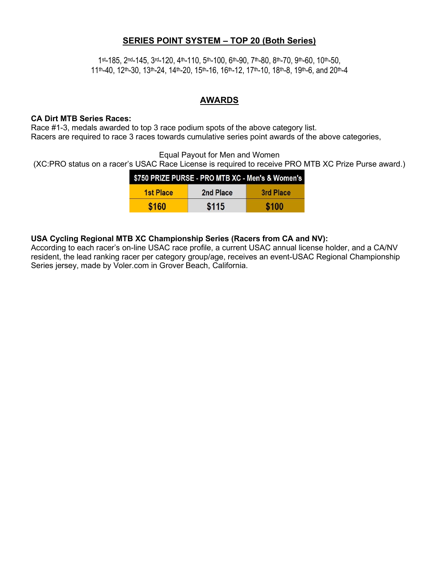#### **SERIES POINT SYSTEM – TOP 20 (Both Series)**

1 st-185, 2nd-145, 3rd-120, 4th-110, 5th-100, 6th-90, 7th-80, 8th-70, 9th-60, 10th-50,  $11<sup>th</sup>$ -40, 12<sup>th</sup>-30, 13<sup>th</sup>-24, 14<sup>th</sup>-20, 15<sup>th</sup>-16, 16<sup>th</sup>-12, 17<sup>th</sup>-10, 18<sup>th</sup>-8, 19<sup>th</sup>-6, and 20<sup>th</sup>-4

#### **AWARDS**

#### **CA Dirt MTB Series Races:**

Race #1-3, medals awarded to top 3 race podium spots of the above category list. Racers are required to race 3 races towards cumulative series point awards of the above categories,

Equal Payout for Men and Women

(XC:PRO status on a racer's USAC Race License is required to receive PRO MTB XC Prize Purse award.)

| \$750 PRIZE PURSE - PRO MTB XC - Men's & Women's |           |           |  |
|--------------------------------------------------|-----------|-----------|--|
| <b>1st Place</b>                                 | 2nd Place | 3rd Place |  |
| \$160                                            | \$115     | \$100     |  |

#### **USA Cycling Regional MTB XC Championship Series (Racers from CA and NV):**

According to each racer's on-line USAC race profile, a current USAC annual license holder, and a CA/NV resident, the lead ranking racer per category group/age, receives an event-USAC Regional Championship Series jersey, made by Voler.com in Grover Beach, California.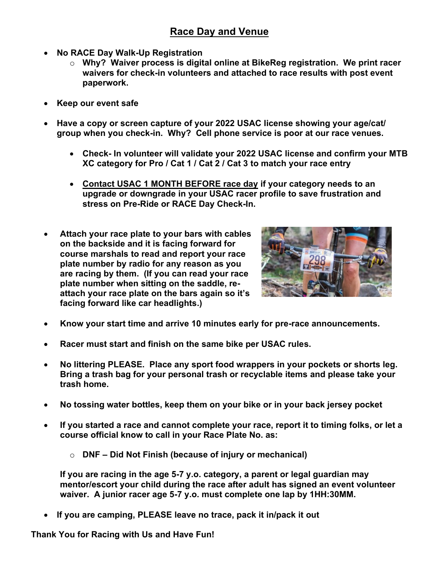- **No RACE Day Walk-Up Registration**
	- o **Why? Waiver process is digital online at BikeReg registration. We print racer waivers for check-in volunteers and attached to race results with post event paperwork.**
- **Keep our event safe**
- **Have a copy or screen capture of your 2022 USAC license showing your age/cat/ group when you check-in. Why? Cell phone service is poor at our race venues.**
	- **Check- In volunteer will validate your 2022 USAC license and confirm your MTB XC category for Pro / Cat 1 / Cat 2 / Cat 3 to match your race entry**
	- **Contact USAC 1 MONTH BEFORE race day if your category needs to an upgrade or downgrade in your USAC racer profile to save frustration and stress on Pre-Ride or RACE Day Check-In.**
- **Attach your race plate to your bars with cables on the backside and it is facing forward for course marshals to read and report your race plate number by radio for any reason as you are racing by them. (If you can read your race plate number when sitting on the saddle, reattach your race plate on the bars again so it's facing forward like car headlights.)**



- **Know your start time and arrive 10 minutes early for pre-race announcements.**
- **Racer must start and finish on the same bike per USAC rules.**
- **No littering PLEASE. Place any sport food wrappers in your pockets or shorts leg. Bring a trash bag for your personal trash or recyclable items and please take your trash home.**
- **No tossing water bottles, keep them on your bike or in your back jersey pocket**
- **If you started a race and cannot complete your race, report it to timing folks, or let a course official know to call in your Race Plate No. as:**
	- o **DNF – Did Not Finish (because of injury or mechanical)**

**If you are racing in the age 5-7 y.o. category, a parent or legal guardian may mentor/escort your child during the race after adult has signed an event volunteer waiver. A junior racer age 5-7 y.o. must complete one lap by 1HH:30MM.**

• **If you are camping, PLEASE leave no trace, pack it in/pack it out**

**Thank You for Racing with Us and Have Fun!**